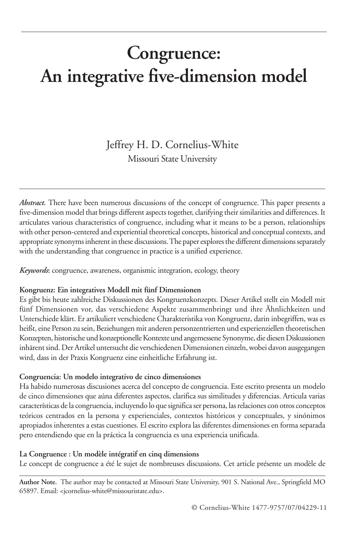# **Congruence: An integrative five-dimension model**

Jeffrey H. D. Cornelius-White Missouri State University

*Abstract.* There have been numerous discussions of the concept of congruence. This paper presents a five-dimension model that brings different aspects together, clarifying their similarities and differences. It articulates various characteristics of congruence, including what it means to be a person, relationships with other person-centered and experiential theoretical concepts, historical and conceptual contexts, and appropriate synonyms inherent in these discussions. The paper explores the different dimensions separately with the understanding that congruence in practice is a unified experience.

*Keywords***:** congruence, awareness, organismic integration, ecology, theory

#### **Kongruenz: Ein integratives Modell mit fünf Dimensionen**

Es gibt bis heute zahlreiche Diskussionen des Kongruenzkonzepts. Dieser Artikel stellt ein Modell mit fünf Dimensionen vor, das verschiedene Aspekte zusammenbringt und ihre Ähnlichkeiten und Unterschiede klärt. Er artikuliert verschiedene Charakteristika von Kongruenz, darin inbegriffen, was es heißt, eine Person zu sein, Beziehungen mit anderen personzentrierten und experienziellen theoretischen Konzepten, historische und konzeptionelle Kontexte und angemessene Synonyme, die diesen Diskussionen inhärent sind. Der Artikel untersucht die verschiedenen Dimensionen einzeln, wobei davon ausgegangen wird, dass in der Praxis Kongruenz eine einheitliche Erfahrung ist.

#### **Congruencia: Un modelo integrativo de cinco dimensiones**

Ha habido numerosas discusiones acerca del concepto de congruencia. Este escrito presenta un modelo de cinco dimensiones que aúna diferentes aspectos, clarifica sus similitudes y diferencias. Articula varias características de la congruencia, incluyendo lo que significa ser persona, las relaciones con otros conceptos teóricos centrados en la persona y experienciales, contextos históricos y conceptuales, y sinónimos apropiados inherentes a estas cuestiones. El escrito explora las diferentes dimensiones en forma separada pero entendiendo que en la práctica la congruencia es una experiencia unificada.

#### **La Congruence : Un modèle intégratif en cinq dimensions**

Le concept de congruence a été le sujet de nombreuses discussions. Cet article présente un modèle de

**Author Note.** The author may be contacted at Missouri State University, 901 S. National Ave., Springfield MO 65897. Email: <jcornelius-white@missouristate.edu>.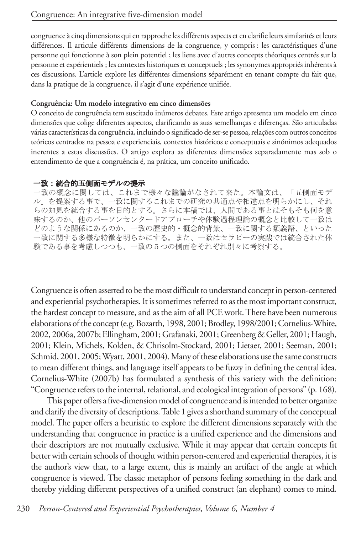congruence à cinq dimensions qui en rapproche les différents aspects et en clarifie leurs similarités et leurs différences. Il articule différents dimensions de la congruence, y compris : les caractéristiques d'une personne qui fonctionne à son plein potentiel ; les liens avec d'autres concepts théoriques centrés sur la personne et expérientiels ; les contextes historiques et conceptuels ; les synonymes appropriés inhérents à ces discussions. L'article explore les différentes dimensions séparément en tenant compte du fait que, dans la pratique de la congruence, il s'agit d'une expérience unifiée.

#### **Congruência: Um modelo integrativo em cinco dimensões**

O conceito de congruência tem suscitado inúmeros debates. Este artigo apresenta um modelo em cinco dimensões que colige diferentes aspectos, clarificando as suas semelhanças e diferenças. São articuladas várias características da congruência, incluindo o significado de ser-se pessoa, relações com outros conceitos teóricos centrados na pessoa e experienciais, contextos históricos e conceptuais e sinónimos adequados inerentes a estas discussões. O artigo explora as diferentes dimensões separadamente mas sob o entendimento de que a congruência é, na prática, um conceito unificado.

## 一致:統合的五側面モデルの提示

一致の概念に関しては、これまで様々な議論がなされて来た。本論文は、「五側面モデ ル」を提案する事で、一致に関するこれまでの研究の共通点や相違点を明らかにし、それ らの知見を統合する事を目的とする。さらに本稿では、人間である事とはそもそも何を意 味するのか、他のパーソンセンタードアプローチや体験過程理論の概念と比較して一致は どのような関係にあるのか、一致の歴史的・概念的背景、一致に関する類義語、といった 一致に関する多様な特徴を明らかにする。また、一致はセラピーの実践では統合された体 験である事を考慮しつつも、一致の5つの側面をそれぞれ別々に考察する。

Congruence is often asserted to be the most difficult to understand concept in person-centered and experiential psychotherapies. It is sometimes referred to as the most important construct, the hardest concept to measure, and as the aim of all PCE work. There have been numerous elaborations of the concept (e.g. Bozarth, 1998, 2001; Brodley, 1998/2001; Cornelius-White, 2002, 2006a, 2007b; Ellingham, 2001; Grafanaki, 2001; Greenberg & Geller, 2001; Haugh, 2001; Klein, Michels, Kolden, & Chrisolm-Stockard, 2001; Lietaer, 2001; Seeman, 2001; Schmid, 2001, 2005; Wyatt, 2001, 2004). Many of these elaborations use the same constructs to mean different things, and language itself appears to be fuzzy in defining the central idea. Cornelius-White (2007b) has formulated a synthesis of this variety with the definition: "Congruence refers to the internal, relational, and ecological integration of persons" (p. 168).

This paper offers a five-dimension model of congruence and is intended to better organize and clarify the diversity of descriptions. Table 1 gives a shorthand summary of the conceptual model. The paper offers a heuristic to explore the different dimensions separately with the understanding that congruence in practice is a unified experience and the dimensions and their descriptors are not mutually exclusive. While it may appear that certain concepts fit better with certain schools of thought within person-centered and experiential therapies, it is the author's view that, to a large extent, this is mainly an artifact of the angle at which congruence is viewed. The classic metaphor of persons feeling something in the dark and thereby yielding different perspectives of a unified construct (an elephant) comes to mind.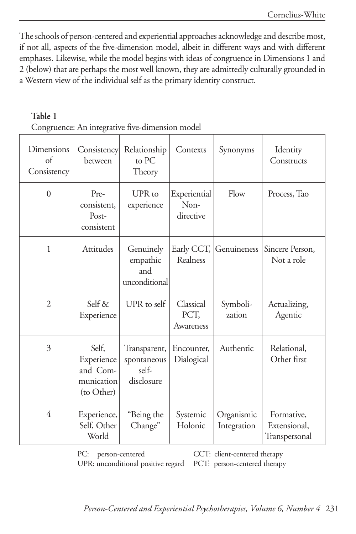The schools of person-centered and experiential approaches acknowledge and describe most, if not all, aspects of the five-dimension model, albeit in different ways and with different emphases. Likewise, while the model begins with ideas of congruence in Dimensions 1 and 2 (below) that are perhaps the most well known, they are admittedly culturally grounded in a Western view of the individual self as the primary identity construct.

| Table 1                                         |
|-------------------------------------------------|
| Congruence: An integrative five-dimension model |

| Dimensions<br>$\sigma$<br>Consistency | Consistency<br>between                                      | Relationship<br>to PC<br>Theory                    | Contexts                          | Synonyms                  | Identity<br>Constructs                      |
|---------------------------------------|-------------------------------------------------------------|----------------------------------------------------|-----------------------------------|---------------------------|---------------------------------------------|
| $\overline{0}$                        | Pre-<br>consistent,<br>Post-<br>consistent                  | UPR to<br>experience                               | Experiential<br>Non-<br>directive | Flow                      | Process, Tao                                |
| $\mathbf{1}$                          | Attitudes                                                   | Genuinely<br>empathic<br>and<br>unconditional      | Early CCT,<br>Realness            | Genuineness               | Sincere Person,<br>Not a role               |
| $\overline{2}$                        | Self &<br>Experience                                        | UPR to self                                        | Classical<br>PCT,<br>Awareness    | Symboli-<br>zation        | Actualizing,<br>Agentic                     |
| 3                                     | Self,<br>Experience<br>and Com-<br>munication<br>(to Other) | Transparent,<br>spontaneous<br>self-<br>disclosure | Encounter,<br>Dialogical          | Authentic                 | Relational,<br>Other first                  |
| $\overline{4}$                        | Experience,<br>Self, Other<br>World                         | "Being the<br>Change"                              | Systemic<br>Holonic               | Organismic<br>Integration | Formative,<br>Extensional,<br>Transpersonal |

PC: person-centered CCT: client-centered therapy

UPR: unconditional positive regard PCT: person-centered therapy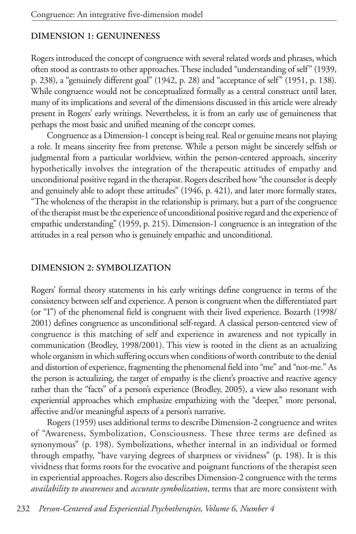#### **DIMENSION 1: GENUINENESS**

Rogers introduced the concept of congruence with several related words and phrases, which often stood as contrasts to other approaches. These included "understanding of self" (1939, p. 238), a "genuinely different goal" (1942, p. 28) and "acceptance of self" (1951, p. 138). While congruence would not be conceptualized formally as a central construct until later, many of its implications and several of the dimensions discussed in this article were already present in Rogers' early writings. Nevertheless, it is from an early use of genuineness that perhaps the most basic and unified meaning of the concept comes.

Congruence as a Dimension-1 concept is being real. Real or genuine means not playing a role. It means sincerity free from pretense. While a person might be sincerely selfish or judgmental from a particular worldview, within the person-centered approach, sincerity hypothetically involves the integration of the therapeutic attitudes of empathy and unconditional positive regard in the therapist. Rogers described how "the counselor is deeply and genuinely able to adopt these attitudes" (1946, p. 421), and later more formally states, "The wholeness of the therapist in the relationship is primary, but a part of the congruence of the therapist must be the experience of unconditional positive regard and the experience of empathic understanding" (1959, p. 215). Dimension-1 congruence is an integration of the attitudes in a real person who is genuinely empathic and unconditional.

#### **DIMENSION 2: SYMBOLIZATION**

Rogers' formal theory statements in his early writings define congruence in terms of the consistency between self and experience. A person is congruent when the differentiated part (or "I") of the phenomenal field is congruent with their lived experience. Bozarth (1998/ 2001) defines congruence as unconditional self-regard. A classical person-centered view of congruence is this matching of self and experience in awareness and not typically in communication (Brodley, 1998/2001). This view is rooted in the client as an actualizing whole organism in which suffering occurs when conditions of worth contribute to the denial and distortion of experience, fragmenting the phenomenal field into "me" and "not-me." As the person is actualizing, the target of empathy is the client's proactive and reactive agency rather than the "facts" of a person's experience (Brodley, 2005), a view also resonant with experiential approaches which emphasize empathizing with the "deeper," more personal, affective and/or meaningful aspects of a person's narrative.

Rogers (1959) uses additional terms to describe Dimension-2 congruence and writes of "Awareness, Symbolization, Consciousness. These three terms are defined as synonymous" (p. 198). Symbolizations, whether internal in an individual or formed through empathy, "have varying degrees of sharpness or vividness" (p. 198). It is this vividness that forms roots for the evocative and poignant functions of the therapist seen in experiential approaches. Rogers also describes Dimension-2 congruence with the terms *availability to awareness* and *accurate symbolization*, terms that are more consistent with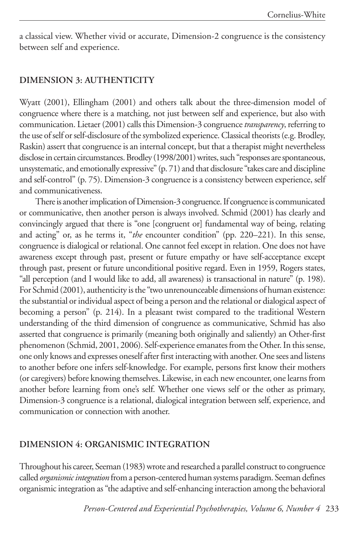a classical view. Whether vivid or accurate, Dimension-2 congruence is the consistency between self and experience.

## **DIMENSION 3: AUTHENTICITY**

Wyatt (2001), Ellingham (2001) and others talk about the three-dimension model of congruence where there is a matching, not just between self and experience, but also with communication. Lietaer (2001) calls this Dimension-3 congruence *transparency*, referring to the use of self or self-disclosure of the symbolized experience. Classical theorists (e.g. Brodley, Raskin) assert that congruence is an internal concept, but that a therapist might nevertheless disclose in certain circumstances. Brodley (1998/2001) writes, such "responses are spontaneous, unsystematic, and emotionally expressive" (p. 71) and that disclosure "takes care and discipline and self-control" (p. 75). Dimension-3 congruence is a consistency between experience, self and communicativeness.

There is another implication of Dimension-3 congruence. If congruence is communicated or communicative, then another person is always involved. Schmid (2001) has clearly and convincingly argued that there is "one [congruent or] fundamental way of being, relating and acting" or, as he terms it, "*the* encounter condition" (pp. 220–221). In this sense, congruence is dialogical or relational. One cannot feel except in relation. One does not have awareness except through past, present or future empathy or have self-acceptance except through past, present or future unconditional positive regard. Even in 1959, Rogers states, "all perception (and I would like to add, all awareness) is transactional in nature" (p. 198). For Schmid (2001), authenticity is the "two unrenounceable dimensions of human existence: the substantial or individual aspect of being a person and the relational or dialogical aspect of becoming a person" (p. 214). In a pleasant twist compared to the traditional Western understanding of the third dimension of congruence as communicative, Schmid has also asserted that congruence is primarily (meaning both originally and saliently) an Other-first phenomenon (Schmid, 2001, 2006). Self-experience emanates from the Other. In this sense, one only knows and expresses oneself after first interacting with another. One sees and listens to another before one infers self-knowledge. For example, persons first know their mothers (or caregivers) before knowing themselves. Likewise, in each new encounter, one learns from another before learning from one's self. Whether one views self or the other as primary, Dimension-3 congruence is a relational, dialogical integration between self, experience, and communication or connection with another.

## **DIMENSION 4: ORGANISMIC INTEGRATION**

Throughout his career, Seeman (1983) wrote and researched a parallel construct to congruence called *organismic integration* from a person-centered human systems paradigm. Seeman defines organismic integration as "the adaptive and self-enhancing interaction among the behavioral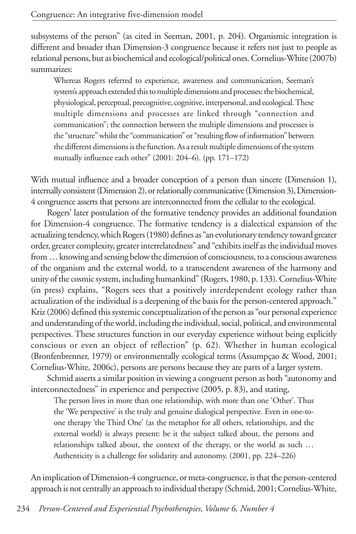subsystems of the person" (as cited in Seeman, 2001, p. 204). Organismic integration is different and broader than Dimension-3 congruence because it refers not just to people as relational persons, but as biochemical and ecological/political ones. Cornelius-White (2007b) summarizes:

Whereas Rogers referred to experience, awareness and communication, Seeman's system's approach extended this to multiple dimensions and processes: the biochemical, physiological, perceptual, precognitive, cognitive, interpersonal, and ecological. These multiple dimensions and processes are linked through "connection and communication"; the connection between the multiple dimensions and processes is the "structure" whilst the "communication" or "resulting flow of information" between the different dimensions is the function. As a result multiple dimensions of the system mutually influence each other" (2001: 204–6). (pp. 171–172)

With mutual influence and a broader conception of a person than sincere (Dimension 1), internally consistent (Dimension 2), or relationally communicative (Dimension 3), Dimension-4 congruence asserts that persons are interconnected from the cellular to the ecological.

Rogers' later postulation of the formative tendency provides an additional foundation for Dimension-4 congruence. The formative tendency is a dialectical expansion of the actualizing tendency, which Rogers (1980) defines as "an evolutionary tendency toward greater order, greater complexity, greater interrelatedness" and "exhibits itself as the individual moves from … knowing and sensing below the dimension of consciousness, to a conscious awareness of the organism and the external world, to a transcendent awareness of the harmony and unity of the cosmic system, including humankind" (Rogers, 1980, p. 133). Cornelius-White (in press) explains, "Rogers sees that a positively interdependent ecology rather than actualization of the individual is a deepening of the basis for the person-centered approach." Kriz (2006) defined this systemic conceptualization of the person as "our personal experience and understanding of the world, including the individual, social, political, and environmental perspectives. These structures function in our everyday experience without being explicitly conscious or even an object of reflection" (p. 62). Whether in human ecological (Bronfenbrenner, 1979) or environmentally ecological terms (Assumpçao & Wood, 2001; Cornelius-White, 2006c), persons are persons because they are parts of a larger system.

Schmid asserts a similar position in viewing a congruent person as both "autonomy and interconnectedness" in experience and perspective (2005, p. 83), and stating,

The person lives in more than one relationship, with more than one 'Other'. Thus the 'We perspective' is the truly and genuine dialogical perspective. Even in one-toone therapy 'the Third One' (as the metaphor for all others, relationships, and the external world) is always present: be it the subject talked about, the persons and relationships talked about, the context of the therapy, or the world as such … Authenticity is a challenge for solidarity and autonomy. (2001, pp. 224–226)

An implication of Dimension-4 congruence, or meta-congruence, is that the person-centered approach is not centrally an approach to individual therapy (Schmid, 2001; Cornelius-White,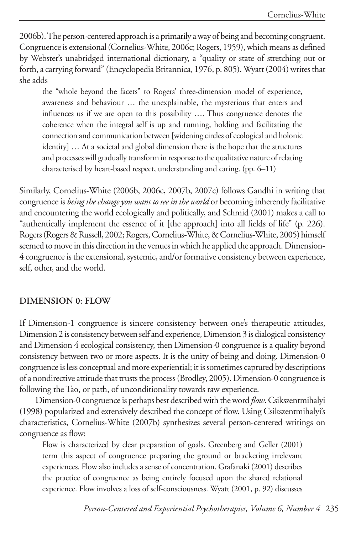2006b). The person-centered approach is a primarily a way of being and becoming congruent. Congruence is extensional (Cornelius-White, 2006c; Rogers, 1959), which means as defined by Webster's unabridged international dictionary, a "quality or state of stretching out or forth, a carrying forward" (Encyclopedia Britannica, 1976, p. 805). Wyatt (2004) writes that she adds

the "whole beyond the facets" to Rogers' three-dimension model of experience, awareness and behaviour … the unexplainable, the mysterious that enters and influences us if we are open to this possibility …. Thus congruence denotes the coherence when the integral self is up and running, holding and facilitating the connection and communication between [widening circles of ecological and holonic identity] … At a societal and global dimension there is the hope that the structures and processes will gradually transform in response to the qualitative nature of relating characterised by heart-based respect, understanding and caring. (pp. 6–11)

Similarly, Cornelius-White (2006b, 2006c, 2007b, 2007c) follows Gandhi in writing that congruence is *being the change you want to see in the world* or becoming inherently facilitative and encountering the world ecologically and politically, and Schmid (2001) makes a call to "authentically implement the essence of it [the approach] into all fields of life" (p. 226). Rogers (Rogers & Russell, 2002; Rogers, Cornelius-White, & Cornelius-White, 2005) himself seemed to move in this direction in the venues in which he applied the approach. Dimension-4 congruence is the extensional, systemic, and/or formative consistency between experience, self, other, and the world.

## **DIMENSION 0: FLOW**

If Dimension-1 congruence is sincere consistency between one's therapeutic attitudes, Dimension 2 is consistency between self and experience, Dimension 3 is dialogical consistency and Dimension 4 ecological consistency, then Dimension-0 congruence is a quality beyond consistency between two or more aspects. It is the unity of being and doing. Dimension-0 congruence is less conceptual and more experiential; it is sometimes captured by descriptions of a nondirective attitude that trusts the process (Brodley, 2005). Dimension-0 congruence is following the Tao, or path, of unconditionality towards raw experience.

Dimension-0 congruence is perhaps best described with the word *flow*. Csikszentmihalyi (1998) popularized and extensively described the concept of flow. Using Csikszentmihalyi's characteristics, Cornelius-White (2007b) synthesizes several person-centered writings on congruence as flow:

Flow is characterized by clear preparation of goals. Greenberg and Geller (2001) term this aspect of congruence preparing the ground or bracketing irrelevant experiences. Flow also includes a sense of concentration. Grafanaki (2001) describes the practice of congruence as being entirely focused upon the shared relational experience. Flow involves a loss of self-consciousness. Wyatt (2001, p. 92) discusses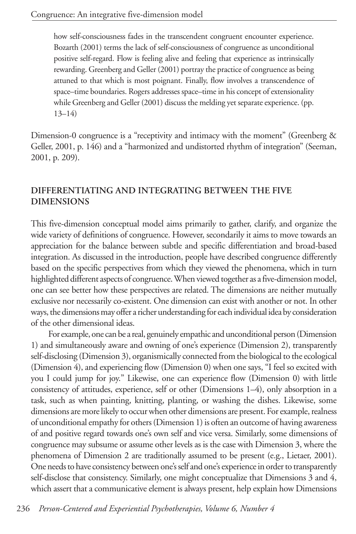how self-consciousness fades in the transcendent congruent encounter experience. Bozarth (2001) terms the lack of self-consciousness of congruence as unconditional positive self-regard. Flow is feeling alive and feeling that experience as intrinsically rewarding. Greenberg and Geller (2001) portray the practice of congruence as being attuned to that which is most poignant. Finally, flow involves a transcendence of space–time boundaries. Rogers addresses space–time in his concept of extensionality while Greenberg and Geller (2001) discuss the melding yet separate experience. (pp. 13–14)

Dimension-0 congruence is a "receptivity and intimacy with the moment" (Greenberg & Geller, 2001, p. 146) and a "harmonized and undistorted rhythm of integration" (Seeman, 2001, p. 209).

# **DIFFERENTIATING AND INTEGRATING BETWEEN THE FIVE DIMENSIONS**

This five-dimension conceptual model aims primarily to gather, clarify, and organize the wide variety of definitions of congruence. However, secondarily it aims to move towards an appreciation for the balance between subtle and specific differentiation and broad-based integration. As discussed in the introduction, people have described congruence differently based on the specific perspectives from which they viewed the phenomena, which in turn highlighted different aspects of congruence. When viewed together as a five-dimension model, one can see better how these perspectives are related. The dimensions are neither mutually exclusive nor necessarily co-existent. One dimension can exist with another or not. In other ways, the dimensions may offer a richer understanding for each individual idea by consideration of the other dimensional ideas.

 For example, one can be a real, genuinely empathic and unconditional person (Dimension 1) and simultaneously aware and owning of one's experience (Dimension 2), transparently self-disclosing (Dimension 3), organismically connected from the biological to the ecological (Dimension 4), and experiencing flow (Dimension 0) when one says, "I feel so excited with you I could jump for joy." Likewise, one can experience flow (Dimension 0) with little consistency of attitudes, experience, self or other (Dimensions 1–4), only absorption in a task, such as when painting, knitting, planting, or washing the dishes. Likewise, some dimensions are more likely to occur when other dimensions are present. For example, realness of unconditional empathy for others (Dimension 1) is often an outcome of having awareness of and positive regard towards one's own self and vice versa. Similarly, some dimensions of congruence may subsume or assume other levels as is the case with Dimension 3, where the phenomena of Dimension 2 are traditionally assumed to be present (e.g., Lietaer, 2001). One needs to have consistency between one's self and one's experience in order to transparently self-disclose that consistency. Similarly, one might conceptualize that Dimensions 3 and 4, which assert that a communicative element is always present, help explain how Dimensions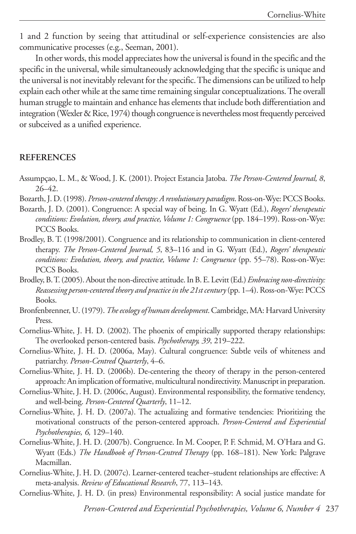1 and 2 function by seeing that attitudinal or self-experience consistencies are also communicative processes (e.g., Seeman, 2001).

In other words, this model appreciates how the universal is found in the specific and the specific in the universal, while simultaneously acknowledging that the specific is unique and the universal is not inevitably relevant for the specific. The dimensions can be utilized to help explain each other while at the same time remaining singular conceptualizations. The overall human struggle to maintain and enhance has elements that include both differentiation and integration (Wexler & Rice, 1974) though congruence is nevertheless most frequently perceived or subceived as a unified experience.

#### **REFERENCES**

Assumpçao, L. M., & Wood, J. K. (2001). Project Estancia Jatoba. *The Person-Centered Journal, 8*, 26–42.

Bozarth, J. D. (1998). *Person-centered therapy: A revolutionary paradigm*. Ross-on-Wye: PCCS Books.

- Bozarth, J. D. (2001). Congruence: A special way of being. In G. Wyatt (Ed.), *Rogers' therapeutic conditions: Evolution, theory, and practice, Volume 1: Congruence* (pp. 184–199). Ross-on-Wye: PCCS Books.
- Brodley, B. T. (1998/2001). Congruence and its relationship to communication in client-centered therapy. *The Person-Centered Journal, 5*, 83–116 and in G. Wyatt (Ed.), *Rogers' therapeutic conditions: Evolution, theory, and practice, Volume 1: Congruence* (pp. 55–78). Ross-on-Wye: PCCS Books.
- Brodley, B. T. (2005). About the non-directive attitude. In B. E. Levitt (Ed.) *Embracing non-directivity: Reassessing person-centered theory and practice in the 21st century* (pp. 1–4). Ross-on-Wye: PCCS Books.
- Bronfenbrenner, U. (1979). *The ecology of human development*. Cambridge, MA: Harvard University Press.
- Cornelius-White, J. H. D. (2002). The phoenix of empirically supported therapy relationships: The overlooked person-centered basis. *Psychotherapy, 39*, 219–222.
- Cornelius-White, J. H. D. (2006a, May). Cultural congruence: Subtle veils of whiteness and patriarchy. *Person-Centred Quarterly*, 4–6.
- Cornelius-White, J. H. D. (2006b). De-centering the theory of therapy in the person-centered approach: An implication of formative, multicultural nondirectivity. Manuscript in preparation.
- Cornelius-White, J. H. D. (2006c, August). Environmental responsibility, the formative tendency, and well-being. *Person-Centered Quarterly*, 11–12.
- Cornelius-White, J. H. D. (2007a). The actualizing and formative tendencies: Prioritizing the motivational constructs of the person-centered approach. *Person-Centered and Experiential Psychotherapies, 6,* 129–140.
- Cornelius-White, J. H. D. (2007b). Congruence. In M. Cooper, P. F. Schmid, M. O'Hara and G. Wyatt (Eds.) *The Handbook of Person-Centred Therapy* (pp. 168–181). New York: Palgrave Macmillan.
- Cornelius-White, J. H. D. (2007c). Learner-centered teacher–student relationships are effective: A meta-analysis. *Review of Educational Research*, 77, 113–143.
- Cornelius-White, J. H. D. (in press) Environmental responsibility: A social justice mandate for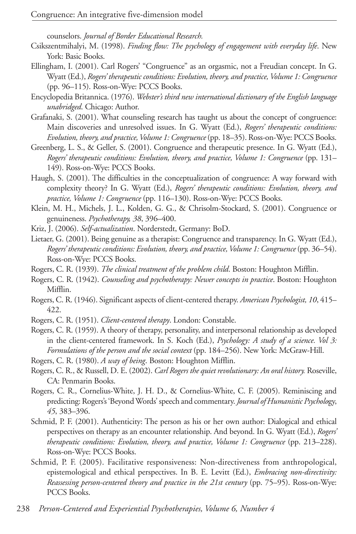counselors. *Journal of Border Educational Research.*

- Csikszentmihalyi, M. (1998). *Finding flow: The psychology of engagement with everyday life*. New York: Basic Books.
- Ellingham, I. (2001). Carl Rogers' "Congruence" as an orgasmic, not a Freudian concept. In G. Wyatt (Ed.), *Rogers' therapeutic conditions: Evolution, theory, and practice, Volume 1: Congruence* (pp. 96–115). Ross-on-Wye: PCCS Books.
- Encyclopedia Britannica. (1976). *Webster's third new international dictionary of the English language unabridged*. Chicago: Author.
- Grafanaki, S. (2001). What counseling research has taught us about the concept of congruence: Main discoveries and unresolved issues. In G. Wyatt (Ed.), *Rogers' therapeutic conditions: Evolution, theory, and practice, Volume 1: Congruence* (pp. 18–35). Ross-on-Wye: PCCS Books.
- Greenberg, L. S., & Geller, S. (2001). Congruence and therapeutic presence. In G. Wyatt (Ed.), *Rogers' therapeutic conditions: Evolution, theory, and practice, Volume 1: Congruence* (pp. 131– 149). Ross-on-Wye: PCCS Books.
- Haugh, S. (2001). The difficulties in the conceptualization of congruence: A way forward with complexity theory? In G. Wyatt (Ed.), *Rogers' therapeutic conditions: Evolution, theory, and practice, Volume 1: Congruence* (pp. 116–130). Ross-on-Wye: PCCS Books.
- Klein, M. H., Michels, J. L., Kolden, G. G., & Chrisolm-Stockard, S. (2001). Congruence or genuineness. *Psychotherapy, 38*, 396–400.
- Kriz, J. (2006). *Self-actualization*. Norderstedt, Germany: BoD.
- Lietaer, G. (2001). Being genuine as a therapist: Congruence and transparency. In G. Wyatt (Ed.), *Rogers' therapeutic conditions: Evolution, theory, and practice, Volume 1: Congruence* (pp. 36–54). Ross-on-Wye: PCCS Books.
- Rogers, C. R. (1939). *The clinical treatment of the problem child*. Boston: Houghton Mifflin.
- Rogers, C. R. (1942). *Counseling and psychotherapy: Newer concepts in practice*. Boston: Houghton Mifflin.
- Rogers, C. R. (1946). Significant aspects of client-centered therapy. *American Psychologist, 10*, 415– 422.
- Rogers, C. R. (1951). *Client-centered therapy*. London: Constable.
- Rogers, C. R. (1959). A theory of therapy, personality, and interpersonal relationship as developed in the client-centered framework. In S. Koch (Ed.), *Psychology: A study of a science. Vol 3: Formulations of the person and the social context* (pp. 184–256). New York: McGraw-Hill.
- Rogers, C. R. (1980). *A way of being*. Boston: Houghton Mifflin.
- Rogers, C. R., & Russell, D. E. (2002). *Carl Rogers the quiet revolutionary: An oral history.* Roseville, CA: Penmarin Books.
- Rogers, C. R., Cornelius-White, J. H. D., & Cornelius-White, C. F. (2005). Reminiscing and predicting: Rogers's 'Beyond Words' speech and commentary. *Journal of Humanistic Psycholo*gy, *45*, 383–396.
- Schmid, P. F. (2001). Authenticity: The person as his or her own author: Dialogical and ethical perspectives on therapy as an encounter relationship. And beyond. In G. Wyatt (Ed.), *Rogers' therapeutic conditions: Evolution, theory, and practice, Volume 1: Congruence* (pp. 213–228). Ross-on-Wye: PCCS Books.
- Schmid, P. F. (2005). Facilitative responsiveness: Non-directiveness from anthropological, epistemological and ethical perspectives. In B. E. Levitt (Ed.), *Embracing non-directivity: Reassessing person-centered theory and practice in the 21st century* (pp. 75–95). Ross-on-Wye: PCCS Books.
- 238 *Person-Centered and Experiential Psychotherapies, Volume 6, Number 4*